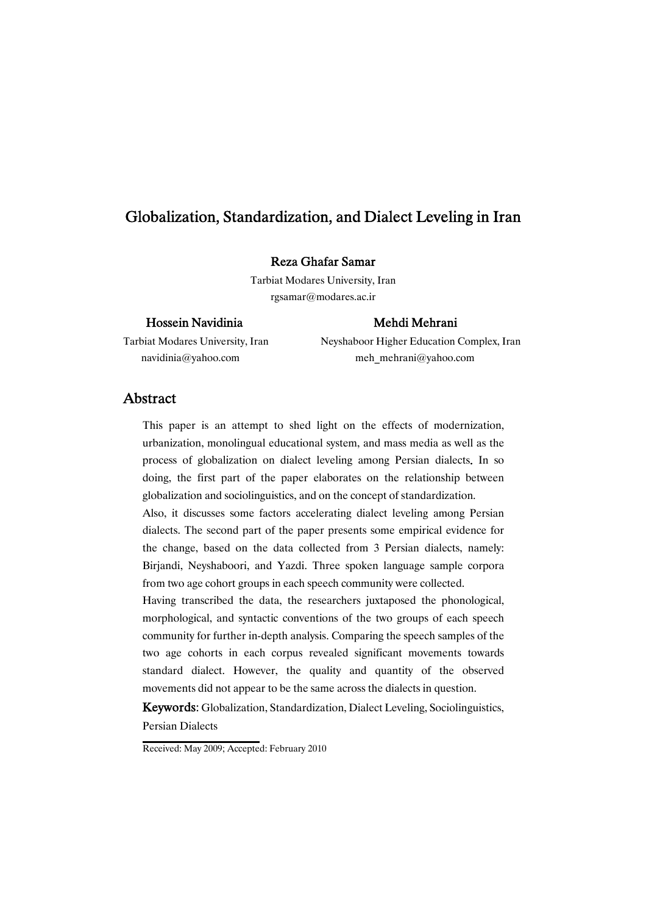### RezaGhafarSamar

Tarbiat Modares University, Iran rgsamar@modares.ac.ir

### Hossein Navidinia Mehdi Mehrani

Tarbiat Modares University, Iran Neyshaboor Higher Education Complex, Iran navidinia@yahoo.com meh\_mehrani@yahoo.com

### Abstract

This paper is an attempt to shed light on the effects of modernization, urbanization, monolingual educational system, and mass media as well as the process of globalization on dialect leveling among Persian dialects. In so doing, the first part of the paper elaborates on the relationship between globalization and sociolinguistics, and on the concept of standardization.

Also, it discusses some factors accelerating dialect leveling among Persian dialects. The second part of the paper presents some empirical evidence for the change, based on the data collected from 3 Persian dialects, namely: Birjandi, Neyshaboori, and Yazdi. Three spoken language sample corpora from two age cohort groups in each speech community were collected.

Having transcribed the data, the researchers juxtaposed the phonological, morphological, and syntactic conventions of the two groups of each speech community for further in-depth analysis. Comparing the speech samples of the two age cohorts in each corpus revealed significant movements towards standard dialect. However, the quality and quantity of the observed movements did not appear to be the same across the dialects in question.

Keywords: Globalization, Standardization, Dialect Leveling, Sociolinguistics, Persian Dialects

Received: May 2009; Accepted: February 2010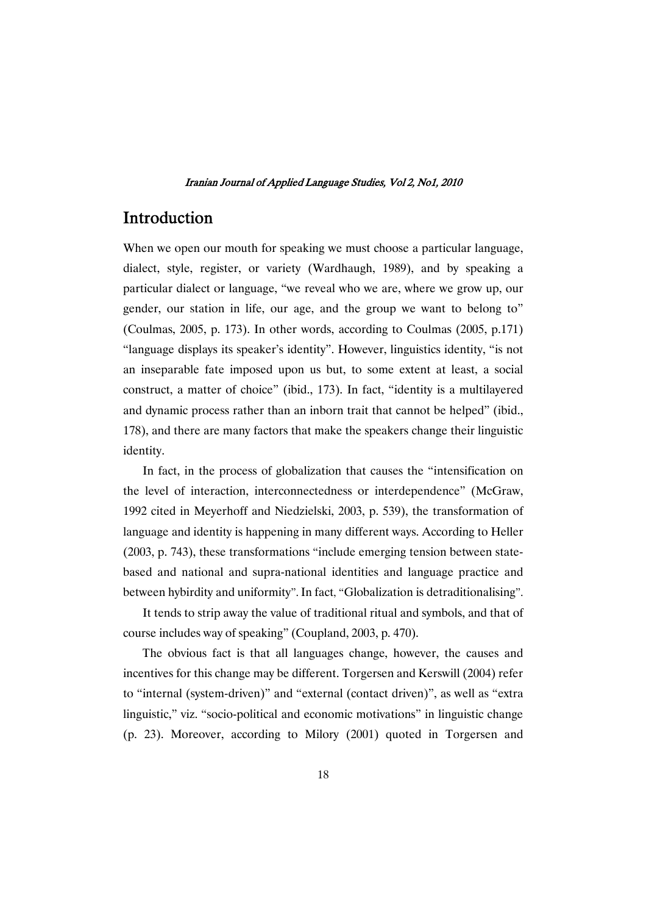## Introduction

When we open our mouth for speaking we must choose a particular language, dialect, style, register, or variety (Wardhaugh, 1989), and by speaking a particular dialect or language, "we reveal who we are, where we grow up, our gender, our station in life, our age, and the group we want to belong to" (Coulmas, 2005, p. 173). In other words, according to Coulmas (2005, p.171) "language displays its speaker's identity". However, linguistics identity, "is not an inseparable fate imposed upon us but, to some extent at least, a social construct, a matter of choice" (ibid., 173). In fact, "identity is a multilayered and dynamic process rather than an inborn trait that cannot be helped" (ibid., 178), and there are many factors that make the speakers change their linguistic identity.

In fact, in the process of globalization that causes the "intensification on the level of interaction, interconnectedness or interdependence" (McGraw, 1992 cited in Meyerhoff and Niedzielski, 2003, p. 539), the transformation of language and identity is happening in many different ways. According to Heller (2003, p. 743), these transformations "include emerging tension between statebased and national and supra-national identities and language practice and between hybirdity and uniformity". In fact, "Globalization is detraditionalising".

It tends to strip away the value of traditional ritual and symbols, and that of course includes way of speaking" (Coupland, 2003, p. 470).

The obvious fact is that all languages change, however, the causes and incentives for this change may be different. Torgersen and Kerswill (2004) refer to "internal (system-driven)" and "external (contact driven)", as well as "extra linguistic," viz. "socio-political and economic motivations" in linguistic change (p. 23). Moreover, according to Milory (2001) quoted in Torgersen and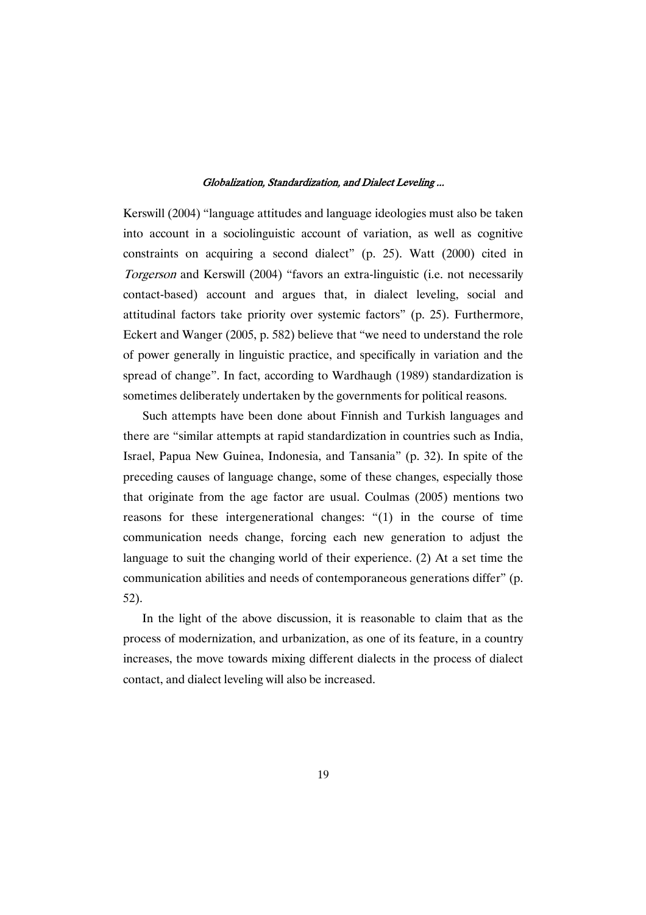Kerswill (2004) "language attitudes and language ideologies must also be taken into account in a sociolinguistic account of variation, as well as cognitive constraints on acquiring a second dialect" (p. 25). Watt (2000) cited in Torgerson and Kerswill (2004) "favors an extra-linguistic (i.e. not necessarily contact-based) account and argues that, in dialect leveling, social and attitudinal factors take priority over systemic factors" (p. 25). Furthermore, Eckert and Wanger (2005, p. 582) believe that "we need to understand the role of power generally in linguistic practice, and specifically in variation and the spread of change". In fact, according to Wardhaugh (1989) standardization is sometimes deliberately undertaken by the governments for political reasons.

Such attempts have been done about Finnish and Turkish languages and there are "similar attempts at rapid standardization in countries such as India, Israel, Papua New Guinea, Indonesia, and Tansania" (p. 32). In spite of the preceding causes of language change, some of these changes, especially those that originate from the age factor are usual. Coulmas (2005) mentions two reasons for these intergenerational changes: "(1) in the course of time communication needs change, forcing each new generation to adjust the language to suit the changing world of their experience. (2) At a set time the communication abilities and needs of contemporaneous generations differ" (p. 52).

In the light of the above discussion, it is reasonable to claim that as the process of modernization, and urbanization, as one of its feature, in a country increases, the move towards mixing different dialects in the process of dialect contact, and dialect leveling will also be increased.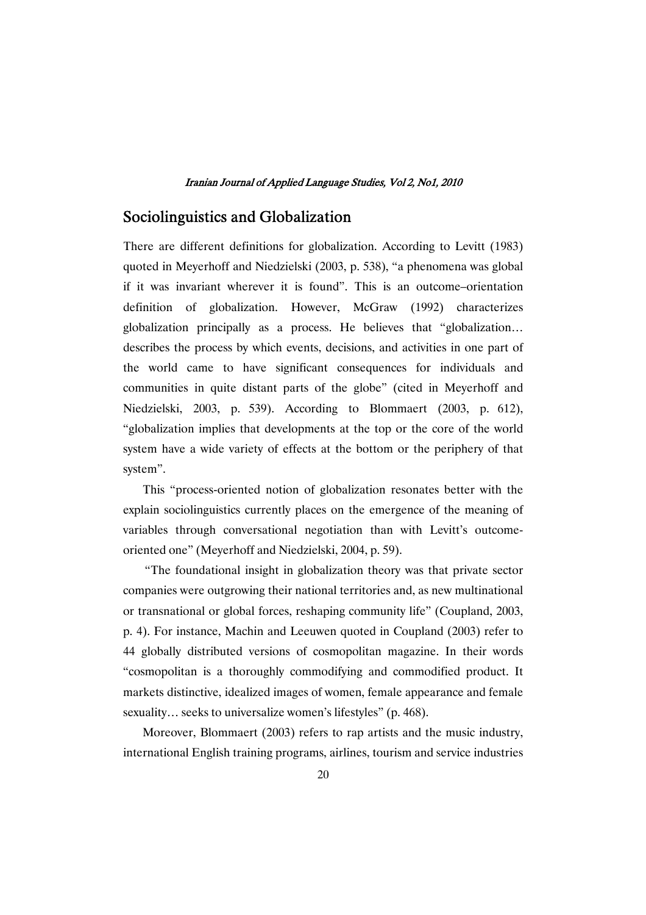# Sociolinguistics and Globalization

There are different definitions for globalization. According to Levitt (1983) quoted in Meyerhoff and Niedzielski (2003, p. 538), "a phenomena was global if it was invariant wherever it is found". This is an outcome–orientation definition of globalization. However, McGraw (1992) characterizes globalization principally as a process. He believes that "globalization… describes the process by which events, decisions, and activities in one part of the world came to have significant consequences for individuals and communities in quite distant parts of the globe" (cited in Meyerhoff and Niedzielski, 2003, p. 539). According to Blommaert (2003, p. 612), "globalization implies that developments at the top or the core of the world system have a wide variety of effects at the bottom or the periphery of that system".

This "process-oriented notion of globalization resonates better with the explain sociolinguistics currently places on the emergence of the meaning of variables through conversational negotiation than with Levitt's outcomeoriented one" (Meyerhoff and Niedzielski, 2004, p. 59).

"The foundational insight in globalization theory was that private sector companies were outgrowing their national territories and, as new multinational or transnational or global forces, reshaping community life" (Coupland, 2003, p. 4). For instance, Machin and Leeuwen quoted in Coupland (2003) refer to 44 globally distributed versions of cosmopolitan magazine. In their words "cosmopolitan is a thoroughly commodifying and commodified product. It markets distinctive, idealized images of women, female appearance and female sexuality... seeks to universalize women's lifestyles" (p. 468).

Moreover, Blommaert (2003) refers to rap artists and the music industry, international English training programs, airlines, tourism and service industries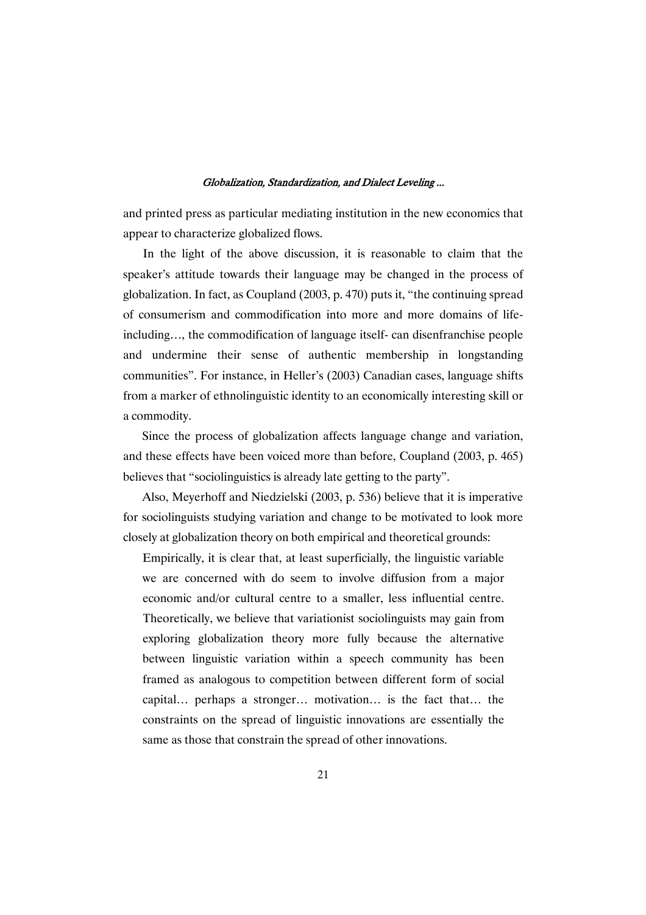and printed press as particular mediating institution in the new economics that appear to characterize globalized flows.

In the light of the above discussion, it is reasonable to claim that the speaker's attitude towards their language may be changed in the process of globalization. In fact, as Coupland (2003, p. 470) puts it, "the continuing spread of consumerism and commodification into more and more domains of lifeincluding…, the commodification of language itself- can disenfranchise people and undermine their sense of authentic membership in longstanding communities". For instance, in Heller's (2003) Canadian cases, language shifts from a marker of ethnolinguistic identity to an economically interesting skill or a commodity.

Since the process of globalization affects language change and variation, and these effects have been voiced more than before, Coupland (2003, p. 465) believes that "sociolinguistics is already late getting to the party".

Also, Meyerhoff and Niedzielski (2003, p. 536) believe that it is imperative for sociolinguists studying variation and change to be motivated to look more closely at globalization theory on both empirical and theoretical grounds:

Empirically, it is clear that, at least superficially, the linguistic variable we are concerned with do seem to involve diffusion from a major economic and/or cultural centre to a smaller, less influential centre. Theoretically, we believe that variationist sociolinguists may gain from exploring globalization theory more fully because the alternative between linguistic variation within a speech community has been framed as analogous to competition between different form of social capital… perhaps a stronger… motivation… is the fact that… the constraints on the spread of linguistic innovations are essentially the same as those that constrain the spread of other innovations.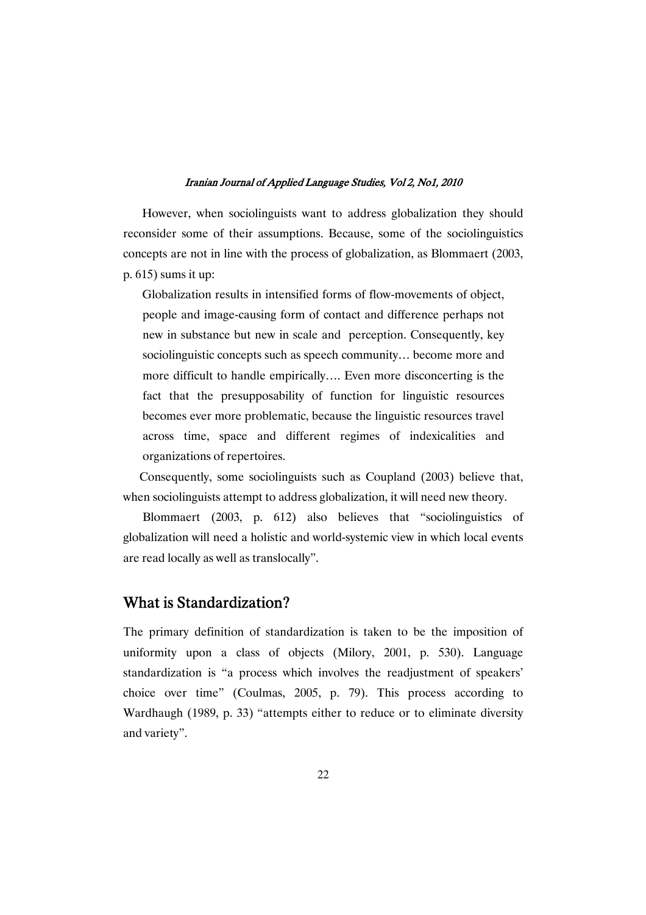However, when sociolinguists want to address globalization they should reconsider some of their assumptions. Because, some of the sociolinguistics concepts are not in line with the process of globalization, as Blommaert (2003, p. 615) sums it up:

Globalization results in intensified forms of flow-movements of object, people and image-causing form of contact and difference perhaps not new in substance but new in scale and perception. Consequently, key sociolinguistic concepts such as speech community… become more and more difficult to handle empirically…. Even more disconcerting is the fact that the presupposability of function for linguistic resources becomes ever more problematic, because the linguistic resources travel across time, space and different regimes of indexicalities and organizations of repertoires.

Consequently, some sociolinguists such as Coupland (2003) believe that, when sociolinguists attempt to address globalization, it will need new theory.

Blommaert (2003, p. 612) also believes that "sociolinguistics of globalization will need a holistic and world-systemic view in which local events are read locally as well as translocally".

### What is Standardization?

The primary definition of standardization is taken to be the imposition of uniformity upon a class of objects (Milory, 2001, p. 530). Language standardization is "a process which involves the readjustment of speakers' choice over time" (Coulmas, 2005, p. 79). This process according to Wardhaugh (1989, p. 33) "attempts either to reduce or to eliminate diversity and variety".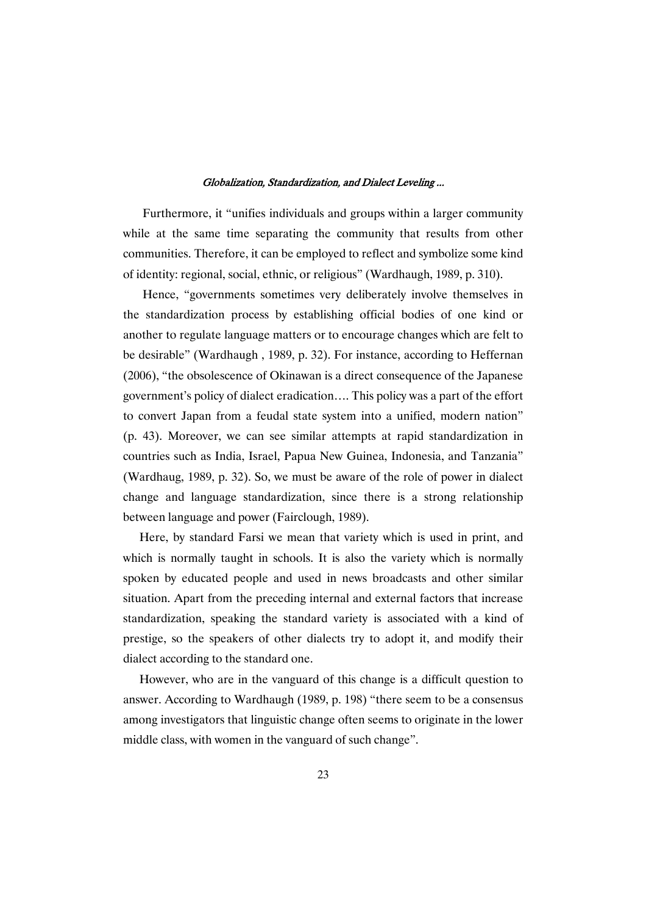Furthermore, it "unifies individuals and groups within a larger community while at the same time separating the community that results from other communities. Therefore, it can be employed to reflect and symbolize some kind of identity: regional, social, ethnic, or religious" (Wardhaugh, 1989, p. 310).

Hence, "governments sometimes very deliberately involve themselves in the standardization process by establishing official bodies of one kind or another to regulate language matters or to encourage changes which are felt to be desirable" (Wardhaugh , 1989, p. 32). For instance, according to Heffernan (2006), "the obsolescence of Okinawan is a direct consequence of the Japanese government's policy of dialect eradication…. This policy was a part of the effort to convert Japan from a feudal state system into a unified, modern nation" (p. 43). Moreover, we can see similar attempts at rapid standardization in countries such as India, Israel, Papua New Guinea, Indonesia, and Tanzania" (Wardhaug, 1989, p. 32). So, we must be aware of the role of power in dialect change and language standardization, since there is a strong relationship between language and power (Fairclough, 1989).

Here, by standard Farsi we mean that variety which is used in print, and which is normally taught in schools. It is also the variety which is normally spoken by educated people and used in news broadcasts and other similar situation. Apart from the preceding internal and external factors that increase standardization, speaking the standard variety is associated with a kind of prestige, so the speakers of other dialects try to adopt it, and modify their dialect according to the standard one.

However, who are in the vanguard of this change is a difficult question to answer. According to Wardhaugh (1989, p. 198) "there seem to be a consensus among investigators that linguistic change often seems to originate in the lower middle class, with women in the vanguard of such change".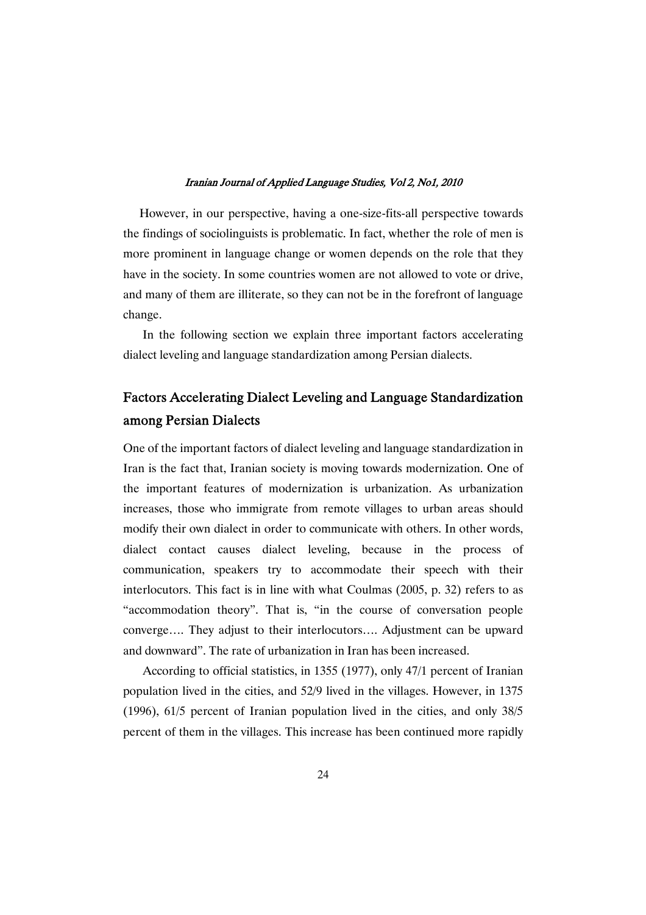However, in our perspective, having a one-size-fits-all perspective towards the findings of sociolinguists is problematic. In fact, whether the role of men is more prominent in language change or women depends on the role that they have in the society. In some countries women are not allowed to vote or drive, and many of them are illiterate, so they can not be in the forefront of language change.

In the following section we explain three important factors accelerating dialect leveling and language standardization among Persian dialects.

# Factors Accelerating Dialect Leveling and Language Standardization among Persian Dialects

One of the important factors of dialect leveling and language standardization in Iran is the fact that, Iranian society is moving towards modernization. One of the important features of modernization is urbanization. As urbanization increases, those who immigrate from remote villages to urban areas should modify their own dialect in order to communicate with others. In other words, dialect contact causes dialect leveling, because in the process of communication, speakers try to accommodate their speech with their interlocutors. This fact is in line with what Coulmas (2005, p. 32) refers to as "accommodation theory". That is, "in the course of conversation people converge…. They adjust to their interlocutors…. Adjustment can be upward and downward". The rate of urbanization in Iran has been increased.

According to official statistics, in 1355 (1977), only 47/1 percent of Iranian population lived in the cities, and 52/9 lived in the villages. However, in 1375 (1996), 61/5 percent of Iranian population lived in the cities, and only 38/5 percent of them in the villages. This increase has been continued more rapidly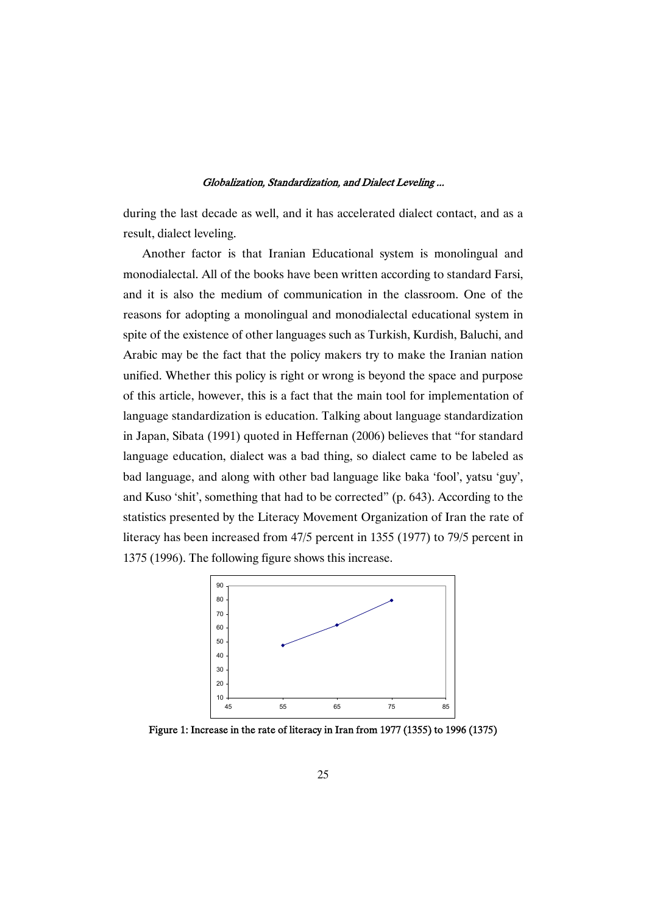during the last decade as well, and it has accelerated dialect contact, and as a result, dialect leveling.

Another factor is that Iranian Educational system is monolingual and monodialectal. All of the books have been written according to standard Farsi, and it is also the medium of communication in the classroom. One of the reasons for adopting a monolingual and monodialectal educational system in spite of the existence of other languages such as Turkish, Kurdish, Baluchi, and Arabic may be the fact that the policy makers try to make the Iranian nation unified. Whether this policy is right or wrong is beyond the space and purpose of this article, however, this is a fact that the main tool for implementation of language standardization is education. Talking about language standardization in Japan, Sibata (1991) quoted in Heffernan (2006) believes that "for standard language education, dialect was a bad thing, so dialect came to be labeled as bad language, and along with other bad language like baka 'fool', yatsu 'guy', and Kuso 'shit', something that had to be corrected" (p. 643). According to the statistics presented by the Literacy Movement Organization of Iran the rate of literacy has been increased from 47/5 percent in 1355 (1977) to 79/5 percent in 1375 (1996). The following figure shows this increase.



Figure 1: Increase in the rate of literacy in Iran from 1977 (1355) to 1996 (1375)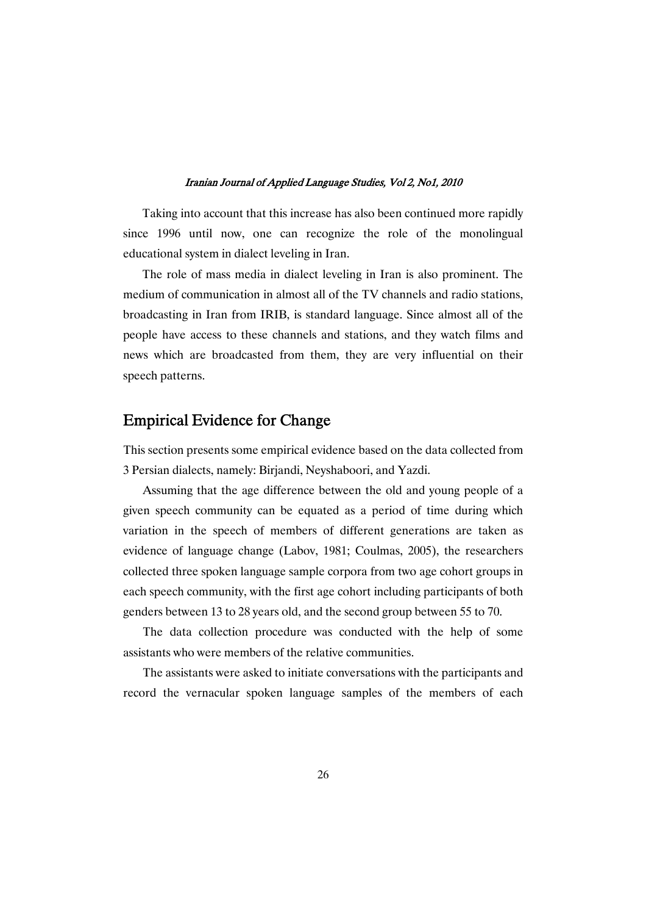Taking into account that this increase has also been continued more rapidly since 1996 until now, one can recognize the role of the monolingual educational system in dialect leveling in Iran.

The role of mass media in dialect leveling in Iran is also prominent. The medium of communication in almost all of the TV channels and radio stations, broadcasting in Iran from IRIB, is standard language. Since almost all of the people have access to these channels and stations, and they watch films and news which are broadcasted from them, they are very influential on their speech patterns.

### Empirical Evidence for Change

This section presents some empirical evidence based on the data collected from 3 Persian dialects, namely: Birjandi, Neyshaboori, and Yazdi.

Assuming that the age difference between the old and young people of a given speech community can be equated as a period of time during which variation in the speech of members of different generations are taken as evidence of language change (Labov, 1981; Coulmas, 2005), the researchers collected three spoken language sample corpora from two age cohort groups in each speech community, with the first age cohort including participants of both genders between 13 to 28 years old, and the second group between 55 to 70.

The data collection procedure was conducted with the help of some assistants who were members of the relative communities.

The assistants were asked to initiate conversations with the participants and record the vernacular spoken language samples of the members of each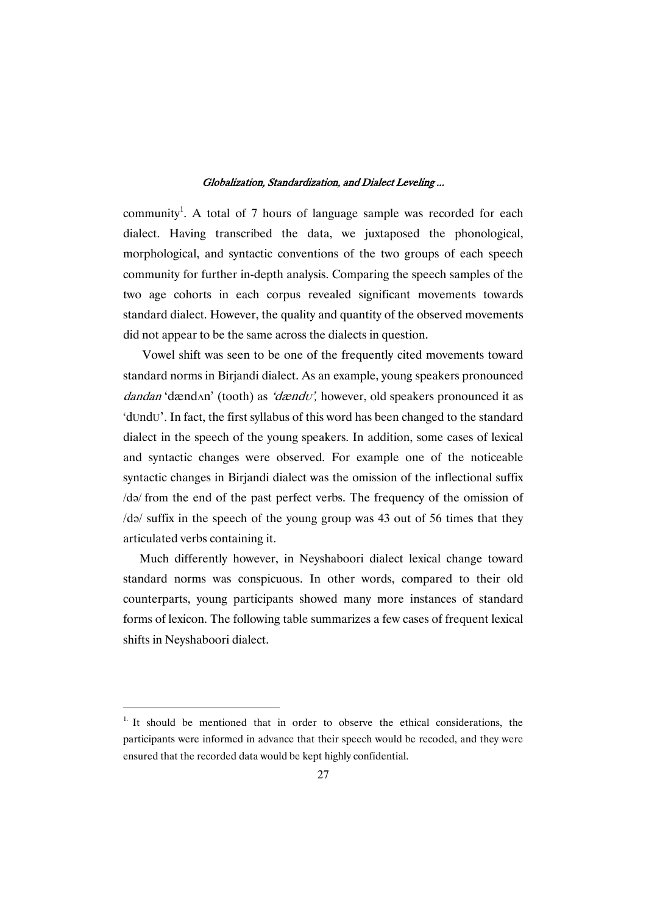community<sup>1</sup>. A total of 7 hours of language sample was recorded for each dialect. Having transcribed the data, we juxtaposed the phonological, morphological, and syntactic conventions of the two groups of each speech community for further in-depth analysis. Comparing the speech samples of the two age cohorts in each corpus revealed significant movements towards standard dialect. However, the quality and quantity of the observed movements did not appear to be the same across the dialects in question.

Vowel shift was seen to be one of the frequently cited movements toward standard norms in Birjandi dialect. As an example, young speakers pronounced dandan 'dænd<sub>A</sub>n' (tooth) as 'dændv', however, old speakers pronounced it as 'dUndU'. In fact, the first syllabus of this word has been changed to the standard dialect in the speech of the young speakers. In addition, some cases of lexical and syntactic changes were observed. For example one of the noticeable syntactic changes in Birjandi dialect was the omission of the inflectional suffix /də/ from the end of the past perfect verbs. The frequency of the omission of  $\frac{1}{9}$  suffix in the speech of the young group was 43 out of 56 times that they articulated verbs containing it.

Much differently however, in Neyshaboori dialect lexical change toward standard norms was conspicuous. In other words, compared to their old counterparts, young participants showed many more instances of standard forms of lexicon. The following table summarizes a few cases of frequent lexical shifts in Neyshaboori dialect.

 $1.$  It should be mentioned that in order to observe the ethical considerations, the participants were informed in advance that their speech would be recoded, and they were ensured that the recorded data would be kept highly confidential.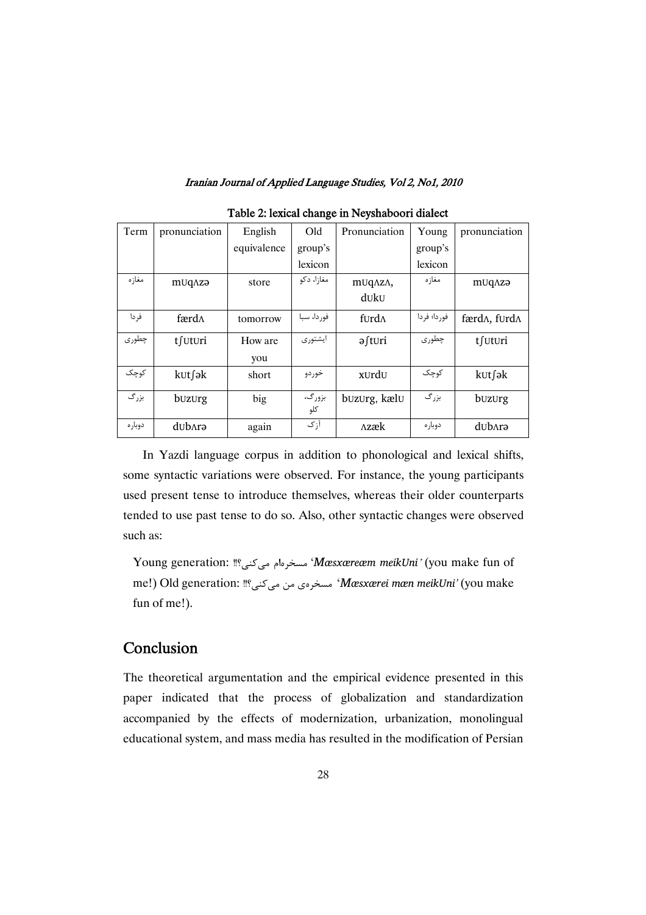| Term    | pronunciation | English     | Old           | Pronunciation                    | Young       | pronunciation                   |
|---------|---------------|-------------|---------------|----------------------------------|-------------|---------------------------------|
|         |               | equivalence | group's       |                                  | group's     |                                 |
|         |               |             | lexicon       |                                  | lexicon     |                                 |
| مغاز ه  | mUqAzə        | store       | مغازا، دکو    | m <sub>U</sub> <sub>Ω</sub> λzΛ, | مغازه       | mUqAzə                          |
|         |               |             |               | duku                             |             |                                 |
| فر دا   | færd∧         | tomorrow    | فوردا، سبا    | furd $\Lambda$                   | فوردا؛ فردا | færd $\Lambda$ , furd $\Lambda$ |
| چطوری   | tfuturi       | How are     | ايشتورى       | ə∫t∪ri                           | چطوری       | t∫∪t∪ri                         |
|         |               | you         |               |                                  |             |                                 |
| كوچک    | k∪t∫ək        | short       | خوردو         | xurdu                            | كوچک        | k∪t∫ək                          |
| بزرگ    | buzurg        | big         | بزورگ،<br>كلو | buzurg, kælu                     | بزرگ        | buzurg                          |
| دوبار ه | dub^rə        | again       | آزک           | Λzæk                             | دوباره      | dub^rə                          |

### Table 2: lexical change in Neyshaboori dialect

In Yazdi language corpus in addition to phonological and lexical shifts, some syntactic variations were observed. For instance, the young participants used present tense to introduce themselves, whereas their older counterparts tended to use past tense to do so. Also, other syntactic changes were observed such as:

Young generation: ﷺ: Young generation: مسخرهام می $\ell$ ینا ' $M$ æsxæreæm *meikUni'* (you make fun of me!) Old generation: ‼مسخرەی من می¢ندی "M*æsxærei mæn meikUni'* (you make fun of me!).

# **Conclusion**

The theoretical argumentation and the empirical evidence presented in this paper indicated that the process of globalization and standardization accompanied by the effects of modernization, urbanization, monolingual educational system, and mass media has resulted in the modification of Persian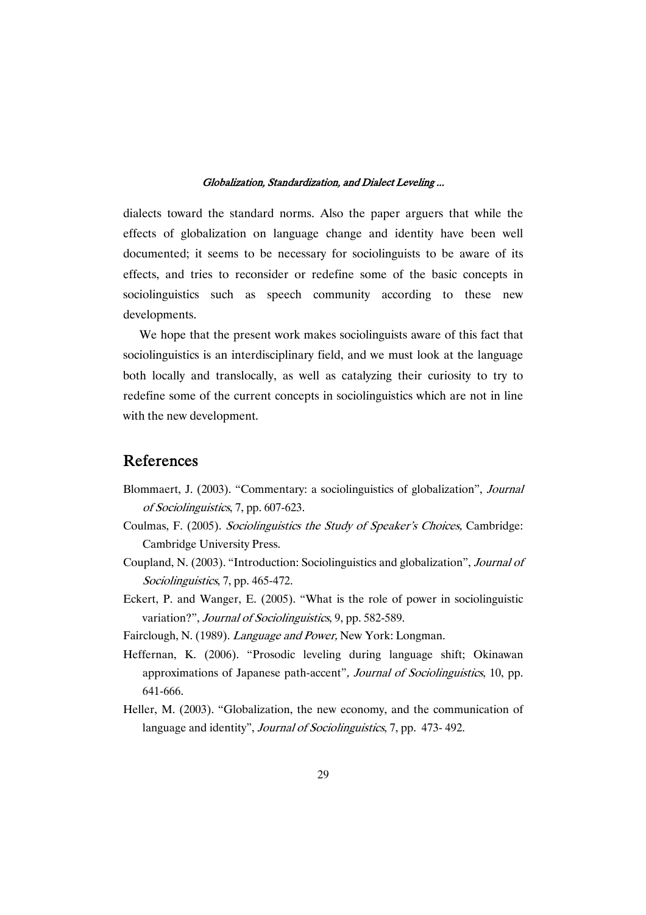dialects toward the standard norms. Also the paper arguers that while the effects of globalization on language change and identity have been well documented; it seems to be necessary for sociolinguists to be aware of its effects, and tries to reconsider or redefine some of the basic concepts in sociolinguistics such as speech community according to these new developments.

We hope that the present work makes sociolinguists aware of this fact that sociolinguistics is an interdisciplinary field, and we must look at the language both locally and translocally, as well as catalyzing their curiosity to try to redefine some of the current concepts in sociolinguistics which are not in line with the new development.

### References

- Blommaert, J. (2003). "Commentary: a sociolinguistics of globalization", Journal of Sociolinguistics, 7, pp. 607-623.
- Coulmas, F. (2005). Sociolinguistics the Study of Speaker's Choices, Cambridge: Cambridge University Press.
- Coupland, N. (2003). "Introduction: Sociolinguistics and globalization", Journal of Sociolinguistics, 7, pp. 465-472.
- Eckert, P. and Wanger, E. (2005). "What is the role of power in sociolinguistic variation?", Journal of Sociolinguistics, 9, pp. 582-589.
- Fairclough, N. (1989). Language and Power, New York: Longman.
- Heffernan, K. (2006). "Prosodic leveling during language shift; Okinawan approximations of Japanese path-accent", Journal of Sociolinguistics, 10, pp. 641-666.
- Heller, M. (2003). "Globalization, the new economy, and the communication of language and identity", *Journal of Sociolinguistics*, 7, pp. 473-492.